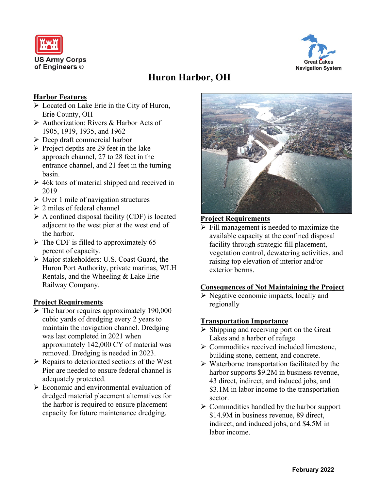



# **Huron Harbor, OH**

### **Harbor Features**

- ➢ Located on Lake Erie in the City of Huron, Erie County, OH
- ➢ Authorization: Rivers & Harbor Acts of 1905, 1919, 1935, and 1962
- ➢ Deep draft commercial harbor
- $\triangleright$  Project depths are 29 feet in the lake approach channel, 27 to 28 feet in the entrance channel, and 21 feet in the turning basin.
- $\geq 46k$  tons of material shipped and received in 2019
- $\triangleright$  Over 1 mile of navigation structures
- $\geq 2$  miles of federal channel
- $\triangleright$  A confined disposal facility (CDF) is located adjacent to the west pier at the west end of the harbor.
- $\triangleright$  The CDF is filled to approximately 65 percent of capacity.
- ➢ Major stakeholders: U.S. Coast Guard, the Huron Port Authority, private marinas, WLH Rentals, and the Wheeling & Lake Erie Railway Company.

#### **Project Requirements**

- $\triangleright$  The harbor requires approximately 190,000 cubic yards of dredging every 2 years to maintain the navigation channel. Dredging was last completed in 2021 when approximately 142,000 CY of material was removed. Dredging is needed in 2023.
- ➢ Repairs to deteriorated sections of the West Pier are needed to ensure federal channel is adequately protected.
- ➢ Economic and environmental evaluation of dredged material placement alternatives for the harbor is required to ensure placement capacity for future maintenance dredging.



#### **Project Requirements**

➢ Fill management is needed to maximize the available capacity at the confined disposal facility through strategic fill placement, vegetation control, dewatering activities, and raising top elevation of interior and/or exterior berms.

#### **Consequences of Not Maintaining the Project**

➢ Negative economic impacts, locally and regionally

#### **Transportation Importance**

- $\triangleright$  Shipping and receiving port on the Great Lakes and a harbor of refuge
- ➢ Commodities received included limestone, building stone, cement, and concrete.
- ➢ Waterborne transportation facilitated by the harbor supports \$9.2M in business revenue, 43 direct, indirect, and induced jobs, and \$3.1M in labor income to the transportation sector.
- ➢ Commodities handled by the harbor support \$14.9M in business revenue, 89 direct, indirect, and induced jobs, and \$4.5M in labor income.